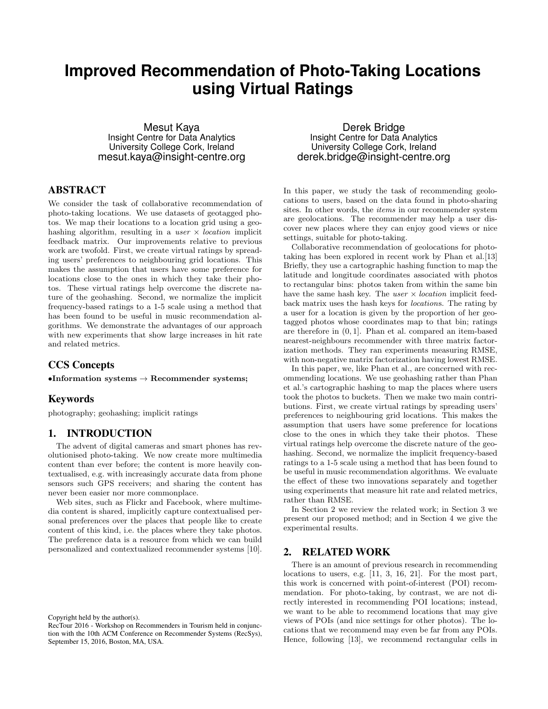# **Improved Recommendation of Photo-Taking Locations using Virtual Ratings**

Mesut Kaya Insight Centre for Data Analytics University College Cork, Ireland mesut.kaya@insight-centre.org

# ABSTRACT

We consider the task of collaborative recommendation of photo-taking locations. We use datasets of geotagged photos. We map their locations to a location grid using a geohashing algorithm, resulting in a user  $\times$  location implicit feedback matrix. Our improvements relative to previous work are twofold. First, we create virtual ratings by spreading users' preferences to neighbouring grid locations. This makes the assumption that users have some preference for locations close to the ones in which they take their photos. These virtual ratings help overcome the discrete nature of the geohashing. Second, we normalize the implicit frequency-based ratings to a 1-5 scale using a method that has been found to be useful in music recommendation algorithms. We demonstrate the advantages of our approach with new experiments that show large increases in hit rate and related metrics.

# CCS Concepts

 $\bullet$ Information systems  $\to$  Recommender systems;

## Keywords

photography; geohashing; implicit ratings

# 1. INTRODUCTION

The advent of digital cameras and smart phones has revolutionised photo-taking. We now create more multimedia content than ever before; the content is more heavily contextualised, e.g. with increasingly accurate data from phone sensors such GPS receivers; and sharing the content has never been easier nor more commonplace.

Web sites, such as Flickr and Facebook, where multimedia content is shared, implicitly capture contextualised personal preferences over the places that people like to create content of this kind, i.e. the places where they take photos. The preference data is a resource from which we can build personalized and contextualized recommender systems [10].

Copyright held by the author(s).

Derek Bridge Insight Centre for Data Analytics University College Cork, Ireland derek.bridge@insight-centre.org

In this paper, we study the task of recommending geolocations to users, based on the data found in photo-sharing sites. In other words, the *items* in our recommender system are geolocations. The recommender may help a user discover new places where they can enjoy good views or nice settings, suitable for photo-taking.

Collaborative recommendation of geolocations for phototaking has been explored in recent work by Phan et al.[13] Briefly, they use a cartographic hashing function to map the latitude and longitude coordinates associated with photos to rectangular bins: photos taken from within the same bin have the same hash key. The user  $\times$  location implicit feedback matrix uses the hash keys for locations. The rating by a user for a location is given by the proportion of her geotagged photos whose coordinates map to that bin; ratings are therefore in (0, 1]. Phan et al. compared an item-based nearest-neighbours recommender with three matrix factorization methods. They ran experiments measuring RMSE, with non-negative matrix factorization having lowest RMSE.

In this paper, we, like Phan et al., are concerned with recommending locations. We use geohashing rather than Phan et al.'s cartographic hashing to map the places where users took the photos to buckets. Then we make two main contributions. First, we create virtual ratings by spreading users' preferences to neighbouring grid locations. This makes the assumption that users have some preference for locations close to the ones in which they take their photos. These virtual ratings help overcome the discrete nature of the geohashing. Second, we normalize the implicit frequency-based ratings to a 1-5 scale using a method that has been found to be useful in music recommendation algorithms. We evaluate the effect of these two innovations separately and together using experiments that measure hit rate and related metrics, rather than RMSE.

In Section 2 we review the related work; in Section 3 we present our proposed method; and in Section 4 we give the experimental results.

## 2. RELATED WORK

There is an amount of previous research in recommending locations to users, e.g. [11, 3, 16, 21]. For the most part, this work is concerned with point-of-interest (POI) recommendation. For photo-taking, by contrast, we are not directly interested in recommending POI locations; instead, we want to be able to recommend locations that may give views of POIs (and nice settings for other photos). The locations that we recommend may even be far from any POIs. Hence, following [13], we recommend rectangular cells in

RecTour 2016 - Workshop on Recommenders in Tourism held in conjunction with the 10th ACM Conference on Recommender Systems (RecSys), September 15, 2016, Boston, MA, USA.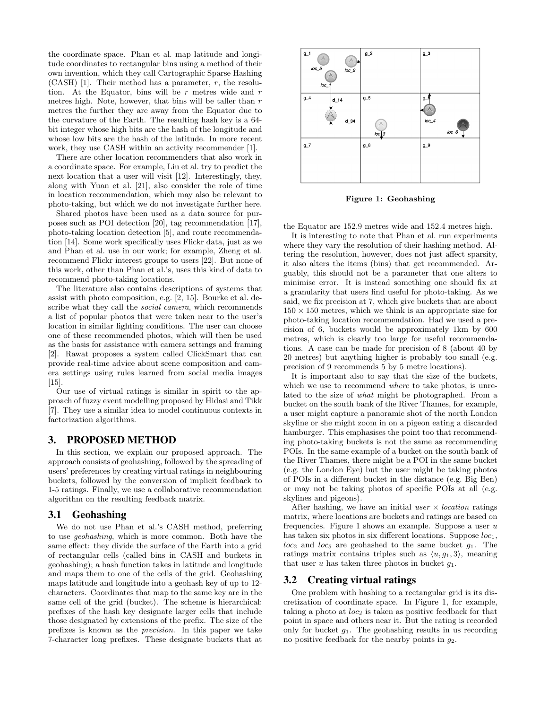the coordinate space. Phan et al. map latitude and longitude coordinates to rectangular bins using a method of their own invention, which they call Cartographic Sparse Hashing (CASH) [1]. Their method has a parameter,  $r$ , the resolution. At the Equator, bins will be  $r$  metres wide and  $r$ metres high. Note, however, that bins will be taller than  $r$ metres the further they are away from the Equator due to the curvature of the Earth. The resulting hash key is a 64 bit integer whose high bits are the hash of the longitude and whose low bits are the hash of the latitude. In more recent work, they use CASH within an activity recommender [1].

There are other location recommenders that also work in a coordinate space. For example, Liu et al. try to predict the next location that a user will visit [12]. Interestingly, they, along with Yuan et al. [21], also consider the role of time in location recommendation, which may also be relevant to photo-taking, but which we do not investigate further here.

Shared photos have been used as a data source for purposes such as POI detection [20], tag recommendation [17], photo-taking location detection [5], and route recommendation [14]. Some work specifically uses Flickr data, just as we and Phan et al. use in our work; for example, Zheng et al. recommend Flickr interest groups to users [22]. But none of this work, other than Phan et al.'s, uses this kind of data to recommend photo-taking locations.

The literature also contains descriptions of systems that assist with photo composition, e.g. [2, 15]. Bourke et al. describe what they call the *social camera*, which recommends a list of popular photos that were taken near to the user's location in similar lighting conditions. The user can choose one of these recommended photos, which will then be used as the basis for assistance with camera settings and framing [2]. Rawat proposes a system called ClickSmart that can provide real-time advice about scene composition and camera settings using rules learned from social media images [15].

Our use of virtual ratings is similar in spirit to the approach of fuzzy event modelling proposed by Hidasi and Tikk [7]. They use a similar idea to model continuous contexts in factorization algorithms.

## 3. PROPOSED METHOD

In this section, we explain our proposed approach. The approach consists of geohashing, followed by the spreading of users' preferences by creating virtual ratings in neighbouring buckets, followed by the conversion of implicit feedback to 1-5 ratings. Finally, we use a collaborative recommendation algorithm on the resulting feedback matrix.

#### 3.1 Geohashing

We do not use Phan et al.'s CASH method, preferring to use geohashing, which is more common. Both have the same effect: they divide the surface of the Earth into a grid of rectangular cells (called bins in CASH and buckets in geohashing); a hash function takes in latitude and longitude and maps them to one of the cells of the grid. Geohashing maps latitude and longitude into a geohash key of up to 12 characters. Coordinates that map to the same key are in the same cell of the grid (bucket). The scheme is hierarchical: prefixes of the hash key designate larger cells that include those designated by extensions of the prefix. The size of the prefixes is known as the precision. In this paper we take 7-character long prefixes. These designate buckets that at



Figure 1: Geohashing

the Equator are 152.9 metres wide and 152.4 metres high.

It is interesting to note that Phan et al. run experiments where they vary the resolution of their hashing method. Altering the resolution, however, does not just affect sparsity, it also alters the items (bins) that get recommended. Arguably, this should not be a parameter that one alters to minimise error. It is instead something one should fix at a granularity that users find useful for photo-taking. As we said, we fix precision at 7, which give buckets that are about  $150 \times 150$  metres, which we think is an appropriate size for photo-taking location recommendation. Had we used a precision of 6, buckets would be approximately 1km by 600 metres, which is clearly too large for useful recommendations. A case can be made for precision of 8 (about 40 by 20 metres) but anything higher is probably too small (e.g. precision of 9 recommends 5 by 5 metre locations).

It is important also to say that the size of the buckets, which we use to recommend *where* to take photos, is unrelated to the size of what might be photographed. From a bucket on the south bank of the River Thames, for example, a user might capture a panoramic shot of the north London skyline or she might zoom in on a pigeon eating a discarded hamburger. This emphasises the point too that recommending photo-taking buckets is not the same as recommending POIs. In the same example of a bucket on the south bank of the River Thames, there might be a POI in the same bucket (e.g. the London Eye) but the user might be taking photos of POIs in a different bucket in the distance (e.g. Big Ben) or may not be taking photos of specific POIs at all (e.g. skylines and pigeons).

After hashing, we have an initial user  $\times$  location ratings matrix, where locations are buckets and ratings are based on frequencies. Figure 1 shows an example. Suppose a user  $u$ has taken six photos in six different locations. Suppose  $loc<sub>1</sub>$ ,  $loc_2$  and  $loc_5$  are geohashed to the same bucket  $g_1$ . The ratings matrix contains triples such as  $\langle u, q_1, 3 \rangle$ , meaning that user u has taken three photos in bucket  $q_1$ .

## 3.2 Creating virtual ratings

One problem with hashing to a rectangular grid is its discretization of coordinate space. In Figure 1, for example, taking a photo at  $loc_2$  is taken as positive feedback for that point in space and others near it. But the rating is recorded only for bucket  $g_1$ . The geohashing results in us recording no positive feedback for the nearby points in  $g_2$ .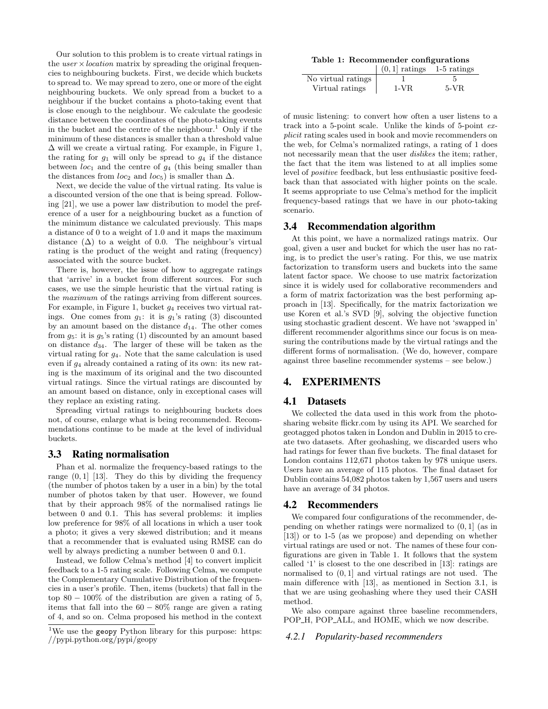Our solution to this problem is to create virtual ratings in the  $user \times location$  matrix by spreading the original frequencies to neighbouring buckets. First, we decide which buckets to spread to. We may spread to zero, one or more of the eight neighbouring buckets. We only spread from a bucket to a neighbour if the bucket contains a photo-taking event that is close enough to the neighbour. We calculate the geodesic distance between the coordinates of the photo-taking events in the bucket and the centre of the neighbour.<sup>1</sup> Only if the minimum of these distances is smaller than a threshold value  $\Delta$  will we create a virtual rating. For example, in Figure 1, the rating for  $g_1$  will only be spread to  $g_4$  if the distance between  $loc_1$  and the centre of  $g_4$  (this being smaller than the distances from  $loc_2$  and  $loc_5$ ) is smaller than  $\Delta$ .

Next, we decide the value of the virtual rating. Its value is a discounted version of the one that is being spread. Following [21], we use a power law distribution to model the preference of a user for a neighbouring bucket as a function of the minimum distance we calculated previously. This maps a distance of 0 to a weight of 1.0 and it maps the maximum distance  $(\Delta)$  to a weight of 0.0. The neighbour's virtual rating is the product of the weight and rating (frequency) associated with the source bucket.

There is, however, the issue of how to aggregate ratings that 'arrive' in a bucket from different sources. For such cases, we use the simple heuristic that the virtual rating is the maximum of the ratings arriving from different sources. For example, in Figure 1, bucket  $g_4$  receives two virtual ratings. One comes from  $g_1$ : it is  $g_1$ 's rating (3) discounted by an amount based on the distance  $d_{14}$ . The other comes from  $g_5$ : it is  $g_5$ 's rating (1) discounted by an amount based on distance  $d_{34}$ . The larger of these will be taken as the virtual rating for  $g_4$ . Note that the same calculation is used even if g<sup>4</sup> already contained a rating of its own: its new rating is the maximum of its original and the two discounted virtual ratings. Since the virtual ratings are discounted by an amount based on distance, only in exceptional cases will they replace an existing rating.

Spreading virtual ratings to neighbouring buckets does not, of course, enlarge what is being recommended. Recommendations continue to be made at the level of individual buckets.

#### 3.3 Rating normalisation

Phan et al. normalize the frequency-based ratings to the range  $(0, 1]$  [13]. They do this by dividing the frequency (the number of photos taken by a user in a bin) by the total number of photos taken by that user. However, we found that by their approach 98% of the normalised ratings lie between 0 and 0.1. This has several problems: it implies low preference for 98% of all locations in which a user took a photo; it gives a very skewed distribution; and it means that a recommender that is evaluated using RMSE can do well by always predicting a number between 0 and 0.1.

Instead, we follow Celma's method [4] to convert implicit feedback to a 1-5 rating scale. Following Celma, we compute the Complementary Cumulative Distribution of the frequencies in a user's profile. Then, items (buckets) that fall in the top  $80 - 100\%$  of the distribution are given a rating of 5, items that fall into the  $60 - 80\%$  range are given a rating of 4, and so on. Celma proposed his method in the context

Table 1: Recommender configurations

|                    | $(0,1]$ ratings | 1-5 ratings |
|--------------------|-----------------|-------------|
| No virtual ratings |                 |             |
| Virtual ratings    | 1-VR.           | 5-VR        |

of music listening: to convert how often a user listens to a track into a 5-point scale. Unlike the kinds of 5-point explicit rating scales used in book and movie recommenders on the web, for Celma's normalized ratings, a rating of 1 does not necessarily mean that the user dislikes the item; rather, the fact that the item was listened to at all implies some level of positive feedback, but less enthusiastic positive feedback than that associated with higher points on the scale. It seems appropriate to use Celma's method for the implicit frequency-based ratings that we have in our photo-taking scenario.

#### 3.4 Recommendation algorithm

At this point, we have a normalized ratings matrix. Our goal, given a user and bucket for which the user has no rating, is to predict the user's rating. For this, we use matrix factorization to transform users and buckets into the same latent factor space. We choose to use matrix factorization since it is widely used for collaborative recommenders and a form of matrix factorization was the best performing approach in [13]. Specifically, for the matrix factorization we use Koren et al.'s SVD [9], solving the objective function using stochastic gradient descent. We have not 'swapped in' different recommender algorithms since our focus is on measuring the contributions made by the virtual ratings and the different forms of normalisation. (We do, however, compare against three baseline recommender systems – see below.)

# 4. EXPERIMENTS

#### 4.1 Datasets

We collected the data used in this work from the photosharing website flickr.com by using its API. We searched for geotagged photos taken in London and Dublin in 2015 to create two datasets. After geohashing, we discarded users who had ratings for fewer than five buckets. The final dataset for London contains 112,671 photos taken by 978 unique users. Users have an average of 115 photos. The final dataset for Dublin contains 54,082 photos taken by 1,567 users and users have an average of 34 photos.

#### 4.2 Recommenders

We compared four configurations of the recommender, depending on whether ratings were normalized to  $(0, 1)$  (as in [13]) or to 1-5 (as we propose) and depending on whether virtual ratings are used or not. The names of these four configurations are given in Table 1. It follows that the system called '1' is closest to the one described in [13]: ratings are normalised to  $(0, 1]$  and virtual ratings are not used. The main difference with [13], as mentioned in Section 3.1, is that we are using geohashing where they used their CASH method.

We also compare against three baseline recommenders, POP\_H, POP\_ALL, and HOME, which we now describe.

#### *4.2.1 Popularity-based recommenders*

<sup>&</sup>lt;sup>1</sup>We use the geopy Python library for this purpose: https: //pypi.python.org/pypi/geopy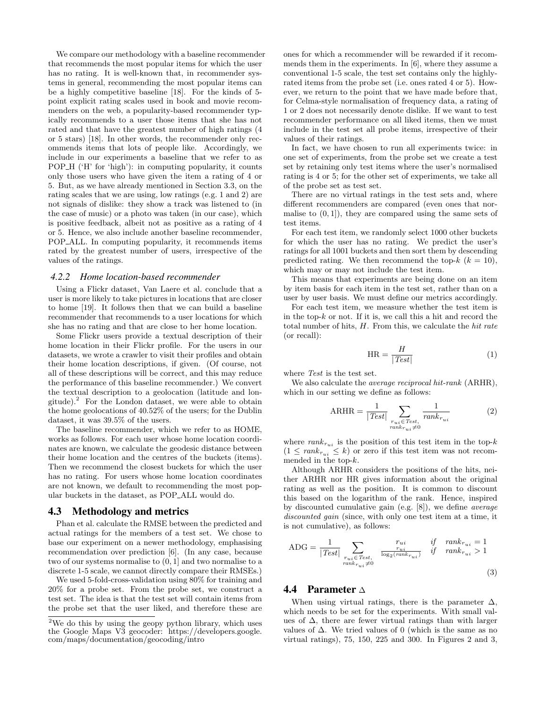We compare our methodology with a baseline recommender that recommends the most popular items for which the user has no rating. It is well-known that, in recommender systems in general, recommending the most popular items can be a highly competitive baseline [18]. For the kinds of 5 point explicit rating scales used in book and movie recommenders on the web, a popularity-based recommender typically recommends to a user those items that she has not rated and that have the greatest number of high ratings (4 or 5 stars) [18]. In other words, the recommender only recommends items that lots of people like. Accordingly, we include in our experiments a baseline that we refer to as POP\_H ('H' for 'high'): in computing popularity, it counts only those users who have given the item a rating of 4 or 5. But, as we have already mentioned in Section 3.3, on the rating scales that we are using, low ratings (e.g. 1 and 2) are not signals of dislike: they show a track was listened to (in the case of music) or a photo was taken (in our case), which is positive feedback, albeit not as positive as a rating of 4 or 5. Hence, we also include another baseline recommender, POP ALL. In computing popularity, it recommends items rated by the greatest number of users, irrespective of the values of the ratings.

#### *4.2.2 Home location-based recommender*

Using a Flickr dataset, Van Laere et al. conclude that a user is more likely to take pictures in locations that are closer to home [19]. It follows then that we can build a baseline recommender that recommends to a user locations for which she has no rating and that are close to her home location.

Some Flickr users provide a textual description of their home location in their Flickr profile. For the users in our datasets, we wrote a crawler to visit their profiles and obtain their home location descriptions, if given. (Of course, not all of these descriptions will be correct, and this may reduce the performance of this baseline recommender.) We convert the textual description to a geolocation (latitude and longitude).<sup>2</sup> For the London dataset, we were able to obtain the home geolocations of 40.52% of the users; for the Dublin dataset, it was 39.5% of the users.

The baseline recommender, which we refer to as HOME, works as follows. For each user whose home location coordinates are known, we calculate the geodesic distance between their home location and the centres of the buckets (items). Then we recommend the closest buckets for which the user has no rating. For users whose home location coordinates are not known, we default to recommending the most popular buckets in the dataset, as POP ALL would do.

#### 4.3 Methodology and metrics

Phan et al. calculate the RMSE between the predicted and actual ratings for the members of a test set. We chose to base our experiment on a newer methodology, emphasising recommendation over prediction [6]. (In any case, because two of our systems normalise to (0, 1] and two normalise to a discrete 1-5 scale, we cannot directly compare their RMSEs.)

We used 5-fold-cross-validation using 80% for training and 20% for a probe set. From the probe set, we construct a test set. The idea is that the test set will contain items from the probe set that the user liked, and therefore these are

ones for which a recommender will be rewarded if it recommends them in the experiments. In [6], where they assume a conventional 1-5 scale, the test set contains only the highlyrated items from the probe set (i.e. ones rated 4 or 5). However, we return to the point that we have made before that, for Celma-style normalisation of frequency data, a rating of 1 or 2 does not necessarily denote dislike. If we want to test recommender performance on all liked items, then we must include in the test set all probe items, irrespective of their values of their ratings.

In fact, we have chosen to run all experiments twice: in one set of experiments, from the probe set we create a test set by retaining only test items where the user's normalised rating is 4 or 5; for the other set of experiments, we take all of the probe set as test set.

There are no virtual ratings in the test sets and, where different recommenders are compared (even ones that normalise to  $(0, 1)$ , they are compared using the same sets of test items.

For each test item, we randomly select 1000 other buckets for which the user has no rating. We predict the user's ratings for all 1001 buckets and then sort them by descending predicted rating. We then recommend the top- $k$  ( $k = 10$ ), which may or may not include the test item.

This means that experiments are being done on an item by item basis for each item in the test set, rather than on a user by user basis. We must define our metrics accordingly.

For each test item, we measure whether the test item is in the top- $k$  or not. If it is, we call this a hit and record the total number of hits,  $H$ . From this, we calculate the *hit rate* (or recall):

$$
HR = \frac{H}{|Test|} \tag{1}
$$

where Test is the test set.

We also calculate the *average reciprocal hit-rank* (ARHR), which in our setting we define as follows:

$$
ARHR = \frac{1}{|Test|} \sum_{\substack{r_{ui} \in Test, \\ rank_{r_{ui}} \neq 0}} \frac{1}{rank_{r_{ui}}} \tag{2}
$$

where  $rank_{r_{ui}}$  is the position of this test item in the top- $k$  $(1 \leq rank_{r_{ui}} \leq k)$  or zero if this test item was not recommended in the top-k.

Although ARHR considers the positions of the hits, neither ARHR nor HR gives information about the original rating as well as the position. It is common to discount this based on the logarithm of the rank. Hence, inspired by discounted cumulative gain (e.g. [8]), we define average discounted gain (since, with only one test item at a time, it is not cumulative), as follows:

$$
ADC = \frac{1}{|Test|} \sum_{\substack{r_{ui} \in Test, \\ rank_{r_{ui}} \neq 0}} \frac{r_{ui}}{\frac{r_{ui}}{\log_2(rank_{r_{ui}})}} \quad \text{if} \quad rank_{r_{ui}} = 1
$$
\n
$$
(3)
$$

## 4.4 Parameter ∆

When using virtual ratings, there is the parameter  $\Delta$ , which needs to be set for the experiments. With small values of  $\Delta$ , there are fewer virtual ratings than with larger values of  $\Delta$ . We tried values of 0 (which is the same as no virtual ratings), 75, 150, 225 and 300. In Figures 2 and 3,

 $2$ We do this by using the geopy python library, which uses the Google Maps V3 geocoder: https://developers.google. com/maps/documentation/geocoding/intro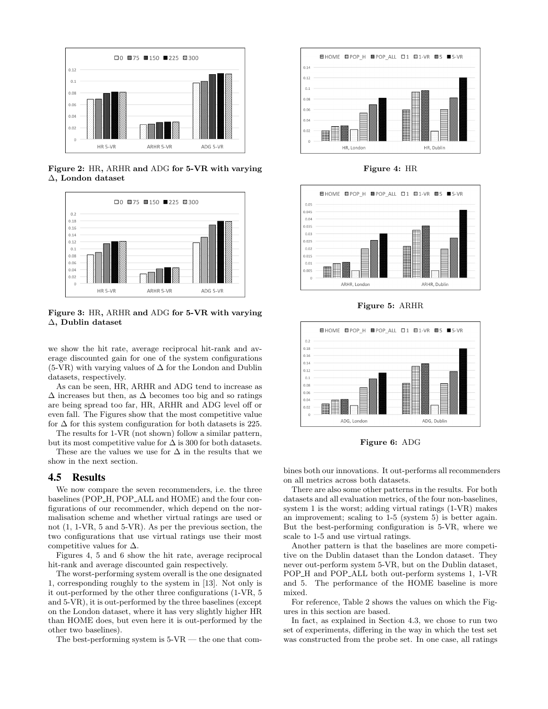

Figure 2: HR, ARHR and ADG for 5-VR with varying ∆, London dataset



Figure 3: HR, ARHR and ADG for 5-VR with varying ∆, Dublin dataset

we show the hit rate, average reciprocal hit-rank and average discounted gain for one of the system configurations (5-VR) with varying values of  $\Delta$  for the London and Dublin datasets, respectively.

As can be seen, HR, ARHR and ADG tend to increase as  $\Delta$  increases but then, as  $\Delta$  becomes too big and so ratings are being spread too far, HR, ARHR and ADG level off or even fall. The Figures show that the most competitive value for  $\Delta$  for this system configuration for both datasets is 225.

The results for 1-VR (not shown) follow a similar pattern, but its most competitive value for  $\Delta$  is 300 for both datasets.

These are the values we use for  $\Delta$  in the results that we show in the next section.

## 4.5 Results

We now compare the seven recommenders, i.e. the three baselines (POP\_H, POP\_ALL and HOME) and the four configurations of our recommender, which depend on the normalisation scheme and whether virtual ratings are used or not (1, 1-VR, 5 and 5-VR). As per the previous section, the two configurations that use virtual ratings use their most competitive values for  $\Delta$ .

Figures 4, 5 and 6 show the hit rate, average reciprocal hit-rank and average discounted gain respectively.

The worst-performing system overall is the one designated 1, corresponding roughly to the system in [13]. Not only is it out-performed by the other three configurations (1-VR, 5 and 5-VR), it is out-performed by the three baselines (except on the London dataset, where it has very slightly higher HR than HOME does, but even here it is out-performed by the other two baselines).

The best-performing system is  $5\text{-}VR$  — the one that com-



Figure 4: HR



Figure 5: ARHR



Figure 6: ADG

bines both our innovations. It out-performs all recommenders on all metrics across both datasets.

There are also some other patterns in the results. For both datasets and all evaluation metrics, of the four non-baselines, system 1 is the worst; adding virtual ratings (1-VR) makes an improvement; scaling to 1-5 (system 5) is better again. But the best-performing configuration is 5-VR, where we scale to 1-5 and use virtual ratings.

Another pattern is that the baselines are more competitive on the Dublin dataset than the London dataset. They never out-perform system 5-VR, but on the Dublin dataset, POP<sub>-H</sub> and POP<sub>-ALL</sub> both out-perform systems 1, 1-VR and 5. The performance of the HOME baseline is more mixed.

For reference, Table 2 shows the values on which the Figures in this section are based.

In fact, as explained in Section 4.3, we chose to run two set of experiments, differing in the way in which the test set was constructed from the probe set. In one case, all ratings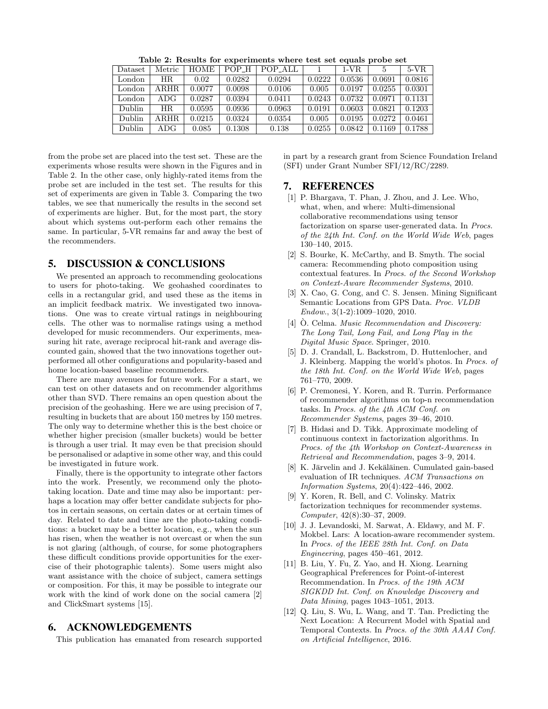| Dataset | Metric      | HOME   | POP H  | POP_ALL |        | $1-VR$ | 5      | $5-VR$ |
|---------|-------------|--------|--------|---------|--------|--------|--------|--------|
| London  | ΗR          | 0.02   | 0.0282 | 0.0294  | 0.0222 | 0.0536 | 0.0691 | 0.0816 |
| London  | $\rm{ARHR}$ | 0.0077 | 0.0098 | 0.0106  | 0.005  | 0.0197 | 0.0255 | 0.0301 |
| London  | $\rm{ADG}$  | 0.0287 | 0.0394 | 0.0411  | 0.0243 | 0.0732 | 0.0971 | 0.1131 |
| Dublin. | HR.         | 0.0595 | 0.0936 | 0.0963  | 0.0191 | 0.0603 | 0.0821 | 0.1203 |
| Dublin  | $\rm{ARHR}$ | 0.0215 | 0.0324 | 0.0354  | 0.005  | 0.0195 | 0.0272 | 0.0461 |
| Dublin  | ADG         | 0.085  | 0.1308 | 0.138   | 0.0255 | 0.0842 | 0.1169 | 0.1788 |

Table 2: Results for experiments where test set equals probe set

from the probe set are placed into the test set. These are the experiments whose results were shown in the Figures and in Table 2. In the other case, only highly-rated items from the probe set are included in the test set. The results for this set of experiments are given in Table 3. Comparing the two tables, we see that numerically the results in the second set of experiments are higher. But, for the most part, the story about which systems out-perform each other remains the same. In particular, 5-VR remains far and away the best of the recommenders.

# 5. DISCUSSION & CONCLUSIONS

We presented an approach to recommending geolocations to users for photo-taking. We geohashed coordinates to cells in a rectangular grid, and used these as the items in an implicit feedback matrix. We investigated two innovations. One was to create virtual ratings in neighbouring cells. The other was to normalise ratings using a method developed for music recommenders. Our experiments, measuring hit rate, average reciprocal hit-rank and average discounted gain, showed that the two innovations together outperformed all other configurations and popularity-based and home location-based baseline recommenders.

There are many avenues for future work. For a start, we can test on other datasets and on recommender algorithms other than SVD. There remains an open question about the precision of the geohashing. Here we are using precision of 7, resulting in buckets that are about 150 metres by 150 metres. The only way to determine whether this is the best choice or whether higher precision (smaller buckets) would be better is through a user trial. It may even be that precision should be personalised or adaptive in some other way, and this could be investigated in future work.

Finally, there is the opportunity to integrate other factors into the work. Presently, we recommend only the phototaking location. Date and time may also be important: perhaps a location may offer better candidate subjects for photos in certain seasons, on certain dates or at certain times of day. Related to date and time are the photo-taking conditions: a bucket may be a better location, e.g., when the sun has risen, when the weather is not overcast or when the sun is not glaring (although, of course, for some photographers these difficult conditions provide opportunities for the exercise of their photographic talents). Some users might also want assistance with the choice of subject, camera settings or composition. For this, it may be possible to integrate our work with the kind of work done on the social camera [2] and ClickSmart systems [15].

# 6. ACKNOWLEDGEMENTS

This publication has emanated from research supported

in part by a research grant from Science Foundation Ireland (SFI) under Grant Number SFI/12/RC/2289.

## 7. REFERENCES

- [1] P. Bhargava, T. Phan, J. Zhou, and J. Lee. Who, what, when, and where: Multi-dimensional collaborative recommendations using tensor factorization on sparse user-generated data. In Procs. of the 24th Int. Conf. on the World Wide Web, pages 130–140, 2015.
- [2] S. Bourke, K. McCarthy, and B. Smyth. The social camera: Recommending photo composition using contextual features. In Procs. of the Second Workshop on Context-Aware Recommender Systems, 2010.
- [3] X. Cao, G. Cong, and C. S. Jensen. Mining Significant Semantic Locations from GPS Data. Proc. VLDB Endow., 3(1-2):1009–1020, 2010.
- [4]  $\dot{O}$ . Celma. *Music Recommendation and Discovery:* The Long Tail, Long Fail, and Long Play in the Digital Music Space. Springer, 2010.
- [5] D. J. Crandall, L. Backstrom, D. Huttenlocher, and J. Kleinberg. Mapping the world's photos. In Procs. of the 18th Int. Conf. on the World Wide Web, pages 761–770, 2009.
- [6] P. Cremonesi, Y. Koren, and R. Turrin. Performance of recommender algorithms on top-n recommendation tasks. In Procs. of the 4th ACM Conf. on Recommender Systems, pages 39–46, 2010.
- [7] B. Hidasi and D. Tikk. Approximate modeling of continuous context in factorization algorithms. In Procs. of the 4th Workshop on Context-Awareness in Retrieval and Recommendation, pages 3–9, 2014.
- [8] K. Järvelin and J. Kekäläinen. Cumulated gain-based evaluation of IR techniques. ACM Transactions on Information Systems, 20(4):422–446, 2002.
- [9] Y. Koren, R. Bell, and C. Volinsky. Matrix factorization techniques for recommender systems. Computer, 42(8):30–37, 2009.
- [10] J. J. Levandoski, M. Sarwat, A. Eldawy, and M. F. Mokbel. Lars: A location-aware recommender system. In Procs. of the IEEE 28th Int. Conf. on Data Engineering, pages 450–461, 2012.
- [11] B. Liu, Y. Fu, Z. Yao, and H. Xiong. Learning Geographical Preferences for Point-of-interest Recommendation. In Procs. of the 19th ACM SIGKDD Int. Conf. on Knowledge Discovery and Data Mining, pages 1043–1051, 2013.
- [12] Q. Liu, S. Wu, L. Wang, and T. Tan. Predicting the Next Location: A Recurrent Model with Spatial and Temporal Contexts. In Procs. of the 30th AAAI Conf. on Artificial Intelligence, 2016.